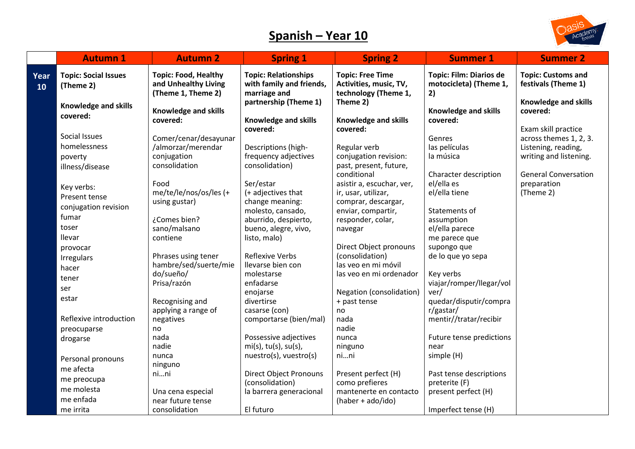

## **Spanish – Year 10**

|            | <b>Autumn 1</b>                                          | <b>Autumn 2</b>                                                           | <b>Spring 1</b>                                                            | <b>Spring 2</b>                                                                               | <b>Summer 1</b>                                                         | <b>Summer 2</b>                                                                          |
|------------|----------------------------------------------------------|---------------------------------------------------------------------------|----------------------------------------------------------------------------|-----------------------------------------------------------------------------------------------|-------------------------------------------------------------------------|------------------------------------------------------------------------------------------|
| Year<br>10 | <b>Topic: Social Issues</b><br>(Theme 2)                 | <b>Topic: Food, Healthy</b><br>and Unhealthy Living<br>(Theme 1, Theme 2) | <b>Topic: Relationships</b><br>with family and friends,<br>marriage and    | <b>Topic: Free Time</b><br>Activities, music, TV,<br>technology (Theme 1,                     | <b>Topic: Film: Diarios de</b><br>motocicleta) (Theme 1,<br>2)          | <b>Topic: Customs and</b><br>festivals (Theme 1)                                         |
|            | <b>Knowledge and skills</b><br>covered:<br>Social Issues | Knowledge and skills<br>covered:<br>Comer/cenar/desayunar                 | partnership (Theme 1)<br><b>Knowledge and skills</b><br>covered:           | Theme 2)<br><b>Knowledge and skills</b><br>covered:                                           | <b>Knowledge and skills</b><br>covered:<br>Genres                       | <b>Knowledge and skills</b><br>covered:<br>Exam skill practice<br>across themes 1, 2, 3. |
|            | homelessness<br>poverty<br>illness/disease               | /almorzar/merendar<br>conjugation<br>consolidation                        | Descriptions (high-<br>frequency adjectives<br>consolidation)              | Regular verb<br>conjugation revision:<br>past, present, future,<br>conditional                | las películas<br>la música<br>Character description                     | Listening, reading,<br>writing and listening.<br><b>General Conversation</b>             |
|            | Key verbs:<br>Present tense<br>conjugation revision      | Food<br>me/te/le/nos/os/les (+<br>using gustar)                           | Ser/estar<br>(+ adjectives that<br>change meaning:<br>molesto, cansado,    | asistir a, escuchar, ver,<br>ir, usar, utilizar,<br>comprar, descargar,<br>enviar, compartir, | el/ella es<br>el/ella tiene<br>Statements of                            | preparation<br>(Theme 2)                                                                 |
|            | fumar<br>toser<br><b>llevar</b><br>provocar              | ¿Comes bien?<br>sano/malsano<br>contiene                                  | aburrido, despierto,<br>bueno, alegre, vivo,<br>listo, malo)               | responder, colar,<br>navegar<br>Direct Object pronouns                                        | assumption<br>el/ella parece<br>me parece que<br>supongo que            |                                                                                          |
|            | Irregulars<br>hacer<br>tener                             | Phrases using tener<br>hambre/sed/suerte/mie<br>do/sueño/                 | <b>Reflexive Verbs</b><br>llevarse bien con<br>molestarse                  | (consolidation)<br>las veo en mi móvil<br>las veo en mi ordenador                             | de lo que yo sepa<br>Key verbs                                          |                                                                                          |
|            | ser<br>estar                                             | Prisa/razón<br>Recognising and<br>applying a range of                     | enfadarse<br>enojarse<br>divertirse<br>casarse (con)                       | <b>Negation (consolidation)</b><br>+ past tense<br>no                                         | viajar/romper/llegar/vol<br>ver/<br>quedar/disputir/compra<br>r/gastar/ |                                                                                          |
|            | Reflexive introduction<br>preocuparse<br>drogarse        | negatives<br>no<br>nada<br>nadie                                          | comportarse (bien/mal)<br>Possessive adjectives<br>$mi(s)$ , tu(s), su(s), | nada<br>nadie<br>nunca<br>ninguno                                                             | mentir//tratar/recibir<br>Future tense predictions<br>near              |                                                                                          |
|            | Personal pronouns<br>me afecta<br>me preocupa            | nunca<br>ninguno<br>nini                                                  | nuestro(s), vuestro(s)<br><b>Direct Object Pronouns</b>                    | nini<br>Present perfect (H)                                                                   | simple (H)<br>Past tense descriptions                                   |                                                                                          |
|            | me molesta<br>me enfada<br>me irrita                     | Una cena especial<br>near future tense<br>consolidation                   | (consolidation)<br>la barrera generacional<br>El futuro                    | como prefieres<br>mantenerte en contacto<br>(haber + ado/ido)                                 | preterite (F)<br>present perfect (H)<br>Imperfect tense (H)             |                                                                                          |